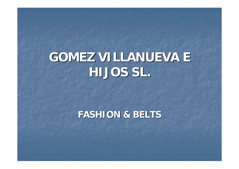# **GOMEZ VILLANUEVA E GOMEZ VILLANUEVA E HIJOS SL. HIJOS SL.**

#### **FASHION & BELTS FASHION & BELTS**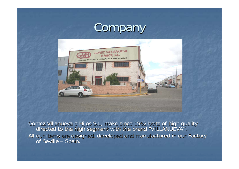#### Company



Gómez Villanueva e Hijos Gómez Villanueva e Hijos S.L, make since 1962 belts of high quality quality directed directed to the high segment segment with the brand "VILLANUEVA". "VILLANUEVA". All our items are designed, developed and manufactured in our Factory<br>of Seville – Spain. f Seville – Spain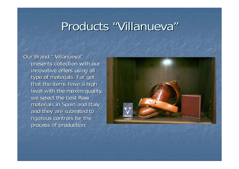#### Products "Villanueva"

Our Brand " Villanueva" presents collection with our innovative offers using all type of materials. For get that the items have a high level with the maxim quality, we select the best Raw materials in Spain and Italy and they are submited to rigorous controls for the process of production.

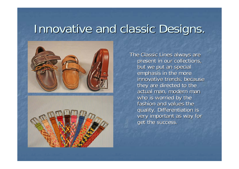# Innovative and classic Designs





The Classic Lines always are present in our collections, but we put an special emphasis in the more innovative trends, because they are directed to the actual man, modern man who is worried by the fashion and values the quality. Differentiation is very important as way for get the success.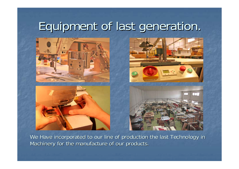# Equipment of last generation.



We Have incorporated to our line of production the last Technology in Machinery for the manufacture of our products.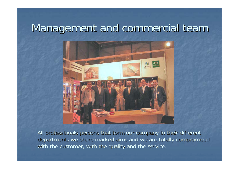#### Management and commercial team



All professionals persons that form our company in their different departments we share marked aims and we are totally compromised with the customer, with the quality and the service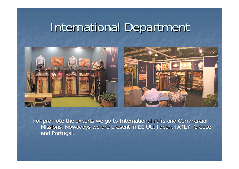# International Department



For promote the exports we go to International Fairs and Commercial Missions. Nowadays we are present in EE UU, Japan, IATLY, Greece and Portugal.